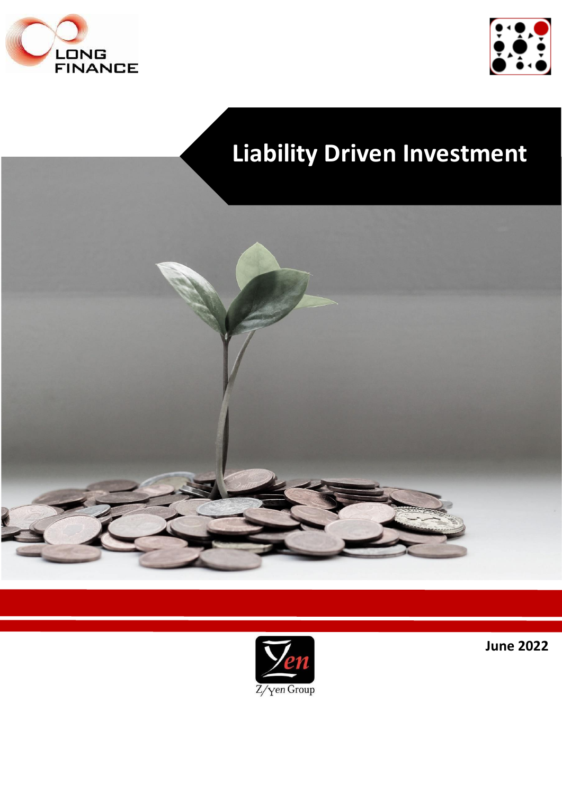



# **Liability Driven Investment**





**June 2022**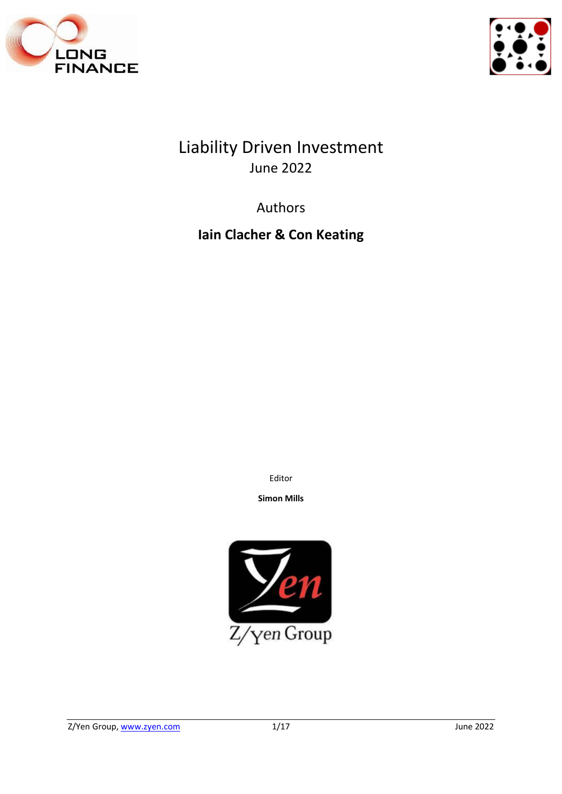



Liability Driven Investment June 2022

Authors

**Iain Clacher & Con Keating**

Editor

**Simon Mills**

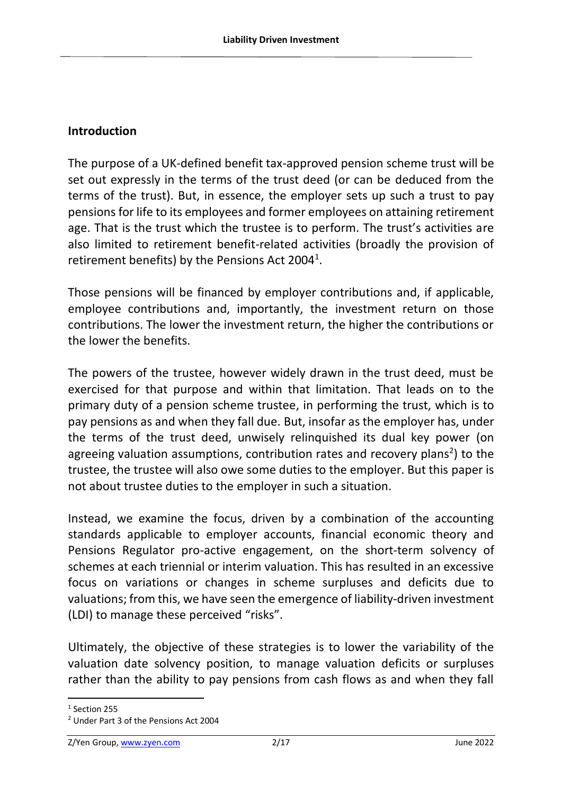#### **Introduction**

The purpose of a UK-defined benefit tax-approved pension scheme trust will be set out expressly in the terms of the trust deed (or can be deduced from the terms of the trust). But, in essence, the employer sets up such a trust to pay pensions for life to its employees and former employees on attaining retirement age. That is the trust which the trustee is to perform. The trust's activities are also limited to retirement benefit-related activities (broadly the provision of retirement benefits) by the Pensions Act 2004<sup>1</sup>.

Those pensions will be financed by employer contributions and, if applicable, employee contributions and, importantly, the investment return on those contributions. The lower the investment return, the higher the contributions or the lower the benefits.

The powers of the trustee, however widely drawn in the trust deed, must be exercised for that purpose and within that limitation. That leads on to the primary duty of a pension scheme trustee, in performing the trust, which is to pay pensions as and when they fall due. But, insofar as the employer has, under the terms of the trust deed, unwisely relinquished its dual key power (on agreeing valuation assumptions, contribution rates and recovery plans<sup>2</sup>) to the trustee, the trustee will also owe some duties to the employer. But this paper is not about trustee duties to the employer in such a situation.

Instead, we examine the focus, driven by a combination of the accounting standards applicable to employer accounts, financial economic theory and Pensions Regulator pro-active engagement, on the short-term solvency of schemes at each triennial or interim valuation. This has resulted in an excessive focus on variations or changes in scheme surpluses and deficits due to valuations; from this, we have seen the emergence of liability-driven investment (LDI) to manage these perceived "risks".

Ultimately, the objective of these strategies is to lower the variability of the valuation date solvency position, to manage valuation deficits or surpluses rather than the ability to pay pensions from cash flows as and when they fall

<sup>1</sup> Section 255

<sup>2</sup> Under Part 3 of the Pensions Act 2004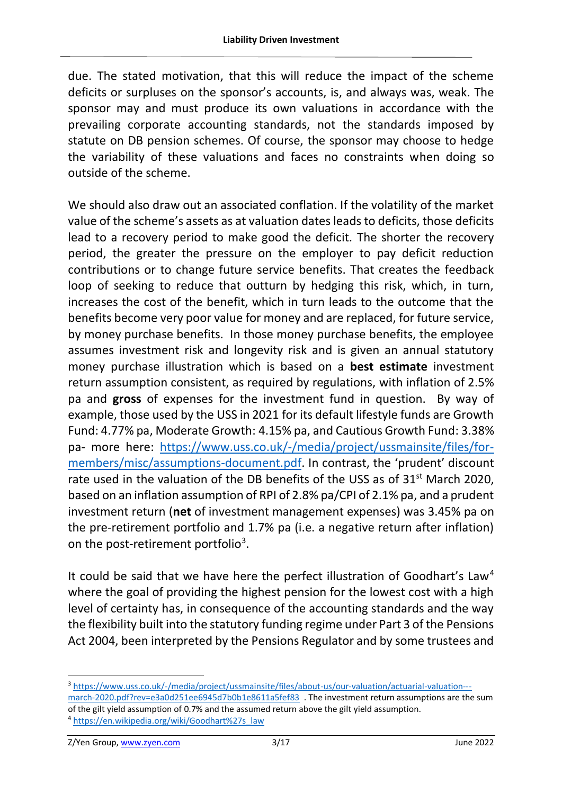due. The stated motivation, that this will reduce the impact of the scheme deficits or surpluses on the sponsor's accounts, is, and always was, weak. The sponsor may and must produce its own valuations in accordance with the prevailing corporate accounting standards, not the standards imposed by statute on DB pension schemes. Of course, the sponsor may choose to hedge the variability of these valuations and faces no constraints when doing so outside of the scheme.

We should also draw out an associated conflation. If the volatility of the market value of the scheme's assets as at valuation dates leads to deficits, those deficits lead to a recovery period to make good the deficit. The shorter the recovery period, the greater the pressure on the employer to pay deficit reduction contributions or to change future service benefits. That creates the feedback loop of seeking to reduce that outturn by hedging this risk, which, in turn, increases the cost of the benefit, which in turn leads to the outcome that the benefits become very poor value for money and are replaced, for future service, by money purchase benefits. In those money purchase benefits, the employee assumes investment risk and longevity risk and is given an annual statutory money purchase illustration which is based on a **best estimate** investment return assumption consistent, as required by regulations, with inflation of 2.5% pa and **gross** of expenses for the investment fund in question. By way of example, those used by the USS in 2021 for its default lifestyle funds are Growth Fund: 4.77% pa, Moderate Growth: 4.15% pa, and Cautious Growth Fund: 3.38% pa- more here: [https://www.uss.co.uk/-/media/project/ussmainsite/files/for](https://www.uss.co.uk/-/media/project/ussmainsite/files/for-members/misc/assumptions-document.pdf)[members/misc/assumptions-document.pdf.](https://www.uss.co.uk/-/media/project/ussmainsite/files/for-members/misc/assumptions-document.pdf) In contrast, the 'prudent' discount rate used in the valuation of the DB benefits of the USS as of  $31<sup>st</sup>$  March 2020, based on an inflation assumption of RPI of 2.8% pa/CPI of 2.1% pa, and a prudent investment return (**net** of investment management expenses) was 3.45% pa on the pre-retirement portfolio and 1.7% pa (i.e. a negative return after inflation) on the post-retirement portfolio<sup>3</sup>.

It could be said that we have here the perfect illustration of Goodhart's Law<sup>4</sup> where the goal of providing the highest pension for the lowest cost with a high level of certainty has, in consequence of the accounting standards and the way the flexibility built into the statutory funding regime under Part 3 of the Pensions Act 2004, been interpreted by the Pensions Regulator and by some trustees and

<sup>3</sup> [https://www.uss.co.uk/-/media/project/ussmainsite/files/about-us/our-valuation/actuarial-valuation--](https://www.uss.co.uk/-/media/project/ussmainsite/files/about-us/our-valuation/actuarial-valuation---march-2020.pdf?rev=e3a0d251ee6945d7b0b1e8611a5fef83) [march-2020.pdf?rev=e3a0d251ee6945d7b0b1e8611a5fef83](https://www.uss.co.uk/-/media/project/ussmainsite/files/about-us/our-valuation/actuarial-valuation---march-2020.pdf?rev=e3a0d251ee6945d7b0b1e8611a5fef83) . The investment return assumptions are the sum of the gilt yield assumption of 0.7% and the assumed return above the gilt yield assumption. <sup>4</sup> [https://en.wikipedia.org/wiki/Goodhart%27s\\_law](https://en.wikipedia.org/wiki/Goodhart%27s_law)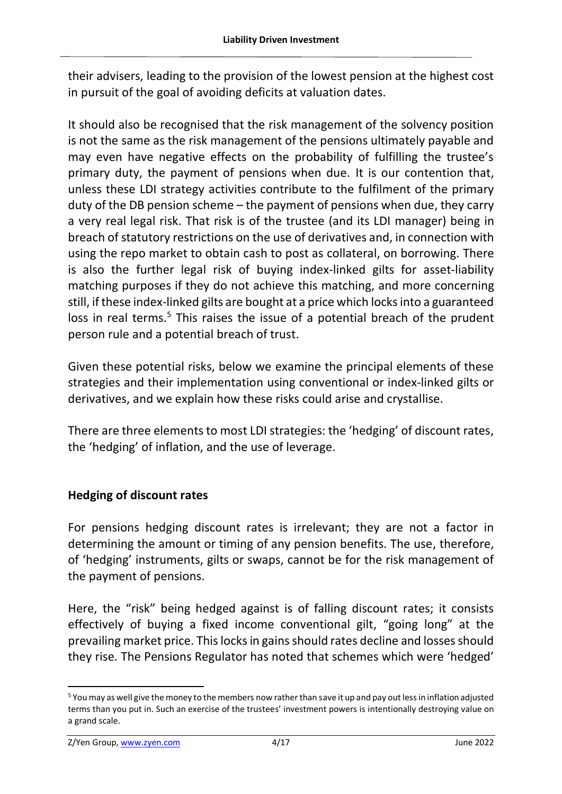their advisers, leading to the provision of the lowest pension at the highest cost in pursuit of the goal of avoiding deficits at valuation dates.

It should also be recognised that the risk management of the solvency position is not the same as the risk management of the pensions ultimately payable and may even have negative effects on the probability of fulfilling the trustee's primary duty, the payment of pensions when due. It is our contention that, unless these LDI strategy activities contribute to the fulfilment of the primary duty of the DB pension scheme – the payment of pensions when due, they carry a very real legal risk. That risk is of the trustee (and its LDI manager) being in breach of statutory restrictions on the use of derivatives and, in connection with using the repo market to obtain cash to post as collateral, on borrowing. There is also the further legal risk of buying index-linked gilts for asset-liability matching purposes if they do not achieve this matching, and more concerning still, if these index-linked gilts are bought at a price which locks into a guaranteed loss in real terms.<sup>5</sup> This raises the issue of a potential breach of the prudent person rule and a potential breach of trust.

Given these potential risks, below we examine the principal elements of these strategies and their implementation using conventional or index-linked gilts or derivatives, and we explain how these risks could arise and crystallise.

There are three elements to most LDI strategies: the 'hedging' of discount rates, the 'hedging' of inflation, and the use of leverage.

# **Hedging of discount rates**

For pensions hedging discount rates is irrelevant; they are not a factor in determining the amount or timing of any pension benefits. The use, therefore, of 'hedging' instruments, gilts or swaps, cannot be for the risk management of the payment of pensions.

Here, the "risk" being hedged against is of falling discount rates; it consists effectively of buying a fixed income conventional gilt, "going long" at the prevailing market price. This locks in gains should rates decline and losses should they rise. The Pensions Regulator has noted that schemes which were 'hedged'

<sup>5</sup> You may as well give the money to the members now rather than save it up and pay out less in inflation adjusted terms than you put in. Such an exercise of the trustees' investment powers is intentionally destroying value on a grand scale.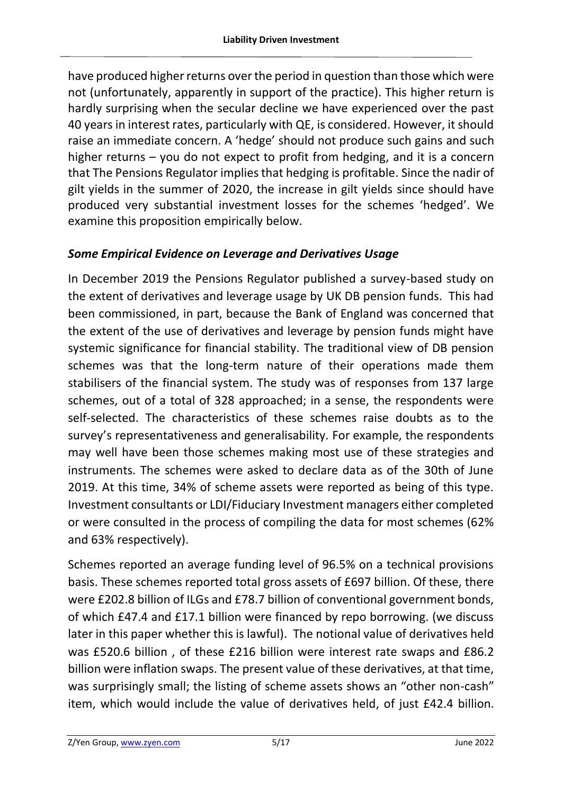have produced higher returns over the period in question than those which were not (unfortunately, apparently in support of the practice). This higher return is hardly surprising when the secular decline we have experienced over the past 40 years in interest rates, particularly with QE, is considered. However, it should raise an immediate concern. A 'hedge' should not produce such gains and such higher returns – you do not expect to profit from hedging, and it is a concern that The Pensions Regulator implies that hedging is profitable. Since the nadir of gilt yields in the summer of 2020, the increase in gilt yields since should have produced very substantial investment losses for the schemes 'hedged'. We examine this proposition empirically below.

# *Some Empirical Evidence on Leverage and Derivatives Usage*

In December 2019 the Pensions Regulator published a survey-based study on the extent of derivatives and leverage usage by UK DB pension funds. This had been commissioned, in part, because the Bank of England was concerned that the extent of the use of derivatives and leverage by pension funds might have systemic significance for financial stability. The traditional view of DB pension schemes was that the long-term nature of their operations made them stabilisers of the financial system. The study was of responses from 137 large schemes, out of a total of 328 approached; in a sense, the respondents were self-selected. The characteristics of these schemes raise doubts as to the survey's representativeness and generalisability. For example, the respondents may well have been those schemes making most use of these strategies and instruments. The schemes were asked to declare data as of the 30th of June 2019. At this time, 34% of scheme assets were reported as being of this type. Investment consultants or LDI/Fiduciary Investment managers either completed or were consulted in the process of compiling the data for most schemes (62% and 63% respectively).

Schemes reported an average funding level of 96.5% on a technical provisions basis. These schemes reported total gross assets of £697 billion. Of these, there were £202.8 billion of ILGs and £78.7 billion of conventional government bonds, of which £47.4 and £17.1 billion were financed by repo borrowing. (we discuss later in this paper whether this is lawful). The notional value of derivatives held was £520.6 billion , of these £216 billion were interest rate swaps and £86.2 billion were inflation swaps. The present value of these derivatives, at that time, was surprisingly small; the listing of scheme assets shows an "other non-cash" item, which would include the value of derivatives held, of just £42.4 billion.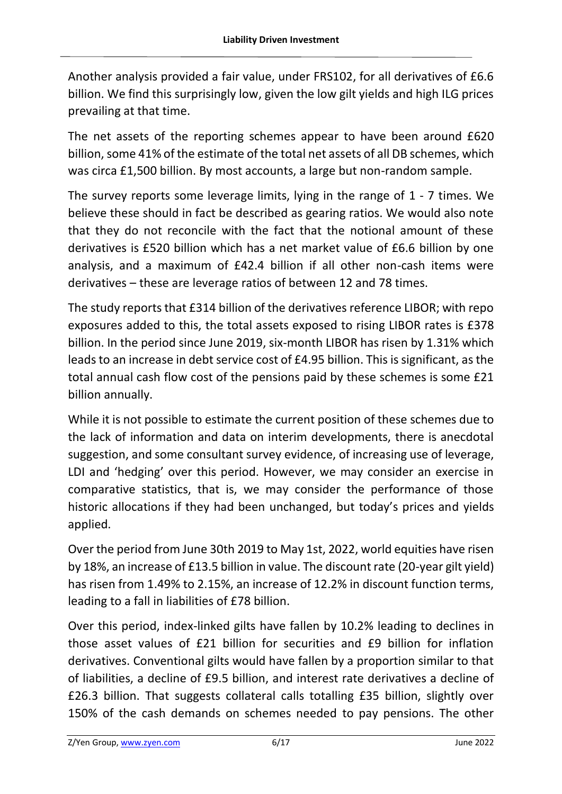Another analysis provided a fair value, under FRS102, for all derivatives of £6.6 billion. We find this surprisingly low, given the low gilt yields and high ILG prices prevailing at that time.

The net assets of the reporting schemes appear to have been around £620 billion, some 41% of the estimate of the total net assets of all DB schemes, which was circa £1,500 billion. By most accounts, a large but non-random sample.

The survey reports some leverage limits, lying in the range of 1 - 7 times. We believe these should in fact be described as gearing ratios. We would also note that they do not reconcile with the fact that the notional amount of these derivatives is £520 billion which has a net market value of £6.6 billion by one analysis, and a maximum of £42.4 billion if all other non-cash items were derivatives – these are leverage ratios of between 12 and 78 times.

The study reports that £314 billion of the derivatives reference LIBOR; with repo exposures added to this, the total assets exposed to rising LIBOR rates is £378 billion. In the period since June 2019, six-month LIBOR has risen by 1.31% which leads to an increase in debt service cost of £4.95 billion. This is significant, as the total annual cash flow cost of the pensions paid by these schemes is some £21 billion annually.

While it is not possible to estimate the current position of these schemes due to the lack of information and data on interim developments, there is anecdotal suggestion, and some consultant survey evidence, of increasing use of leverage, LDI and 'hedging' over this period. However, we may consider an exercise in comparative statistics, that is, we may consider the performance of those historic allocations if they had been unchanged, but today's prices and yields applied.

Over the period from June 30th 2019 to May 1st, 2022, world equities have risen by 18%, an increase of £13.5 billion in value. The discount rate (20-year gilt yield) has risen from 1.49% to 2.15%, an increase of 12.2% in discount function terms, leading to a fall in liabilities of £78 billion.

Over this period, index-linked gilts have fallen by 10.2% leading to declines in those asset values of £21 billion for securities and £9 billion for inflation derivatives. Conventional gilts would have fallen by a proportion similar to that of liabilities, a decline of £9.5 billion, and interest rate derivatives a decline of £26.3 billion. That suggests collateral calls totalling £35 billion, slightly over 150% of the cash demands on schemes needed to pay pensions. The other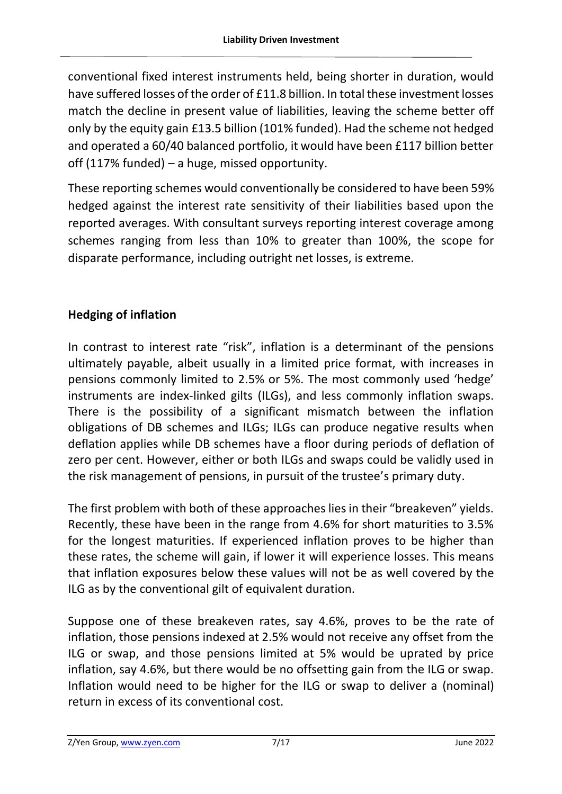conventional fixed interest instruments held, being shorter in duration, would have suffered losses of the order of £11.8 billion. In total these investment losses match the decline in present value of liabilities, leaving the scheme better off only by the equity gain £13.5 billion (101% funded). Had the scheme not hedged and operated a 60/40 balanced portfolio, it would have been £117 billion better off (117% funded) – a huge, missed opportunity.

These reporting schemes would conventionally be considered to have been 59% hedged against the interest rate sensitivity of their liabilities based upon the reported averages. With consultant surveys reporting interest coverage among schemes ranging from less than 10% to greater than 100%, the scope for disparate performance, including outright net losses, is extreme.

# **Hedging of inflation**

In contrast to interest rate "risk", inflation is a determinant of the pensions ultimately payable, albeit usually in a limited price format, with increases in pensions commonly limited to 2.5% or 5%. The most commonly used 'hedge' instruments are index-linked gilts (ILGs), and less commonly inflation swaps. There is the possibility of a significant mismatch between the inflation obligations of DB schemes and ILGs; ILGs can produce negative results when deflation applies while DB schemes have a floor during periods of deflation of zero per cent. However, either or both ILGs and swaps could be validly used in the risk management of pensions, in pursuit of the trustee's primary duty.

The first problem with both of these approaches lies in their "breakeven" yields. Recently, these have been in the range from 4.6% for short maturities to 3.5% for the longest maturities. If experienced inflation proves to be higher than these rates, the scheme will gain, if lower it will experience losses. This means that inflation exposures below these values will not be as well covered by the ILG as by the conventional gilt of equivalent duration.

Suppose one of these breakeven rates, say 4.6%, proves to be the rate of inflation, those pensions indexed at 2.5% would not receive any offset from the ILG or swap, and those pensions limited at 5% would be uprated by price inflation, say 4.6%, but there would be no offsetting gain from the ILG or swap. Inflation would need to be higher for the ILG or swap to deliver a (nominal) return in excess of its conventional cost.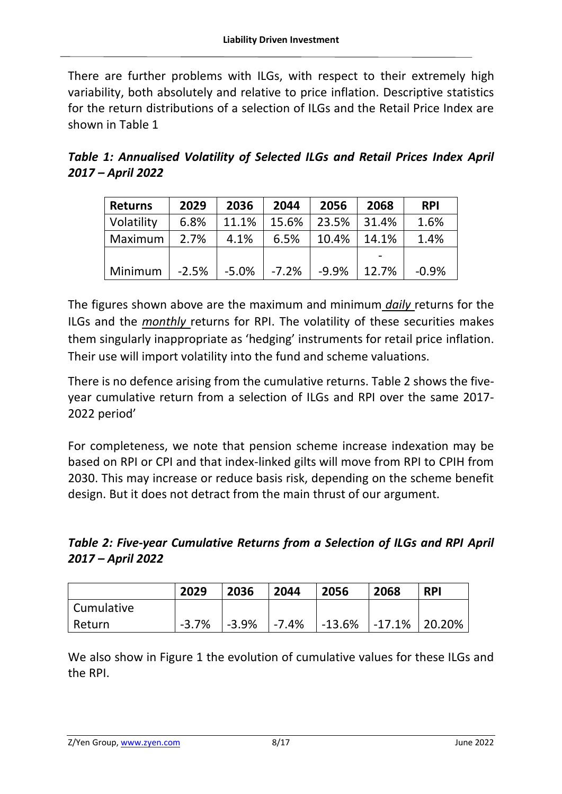There are further problems with ILGs, with respect to their extremely high variability, both absolutely and relative to price inflation. Descriptive statistics for the return distributions of a selection of ILGs and the Retail Price Index are shown in Table 1

*Table 1: Annualised Volatility of Selected ILGs and Retail Prices Index April 2017 – April 2022*

| <b>Returns</b> | 2029    | 2036    | 2044    | 2056    | 2068  | <b>RPI</b> |
|----------------|---------|---------|---------|---------|-------|------------|
| Volatility     | 6.8%    | 11.1%   | 15.6%   | 23.5%   | 31.4% | 1.6%       |
| Maximum        | 2.7%    | 4.1%    | 6.5%    | 10.4%   | 14.1% | 1.4%       |
|                |         |         |         |         |       |            |
| Minimum        | $-2.5%$ | $-5.0%$ | $-7.2%$ | $-9.9%$ | 12.7% | $-0.9%$    |

The figures shown above are the maximum and minimum *daily* returns for the ILGs and the *monthly* returns for RPI. The volatility of these securities makes them singularly inappropriate as 'hedging' instruments for retail price inflation. Their use will import volatility into the fund and scheme valuations.

There is no defence arising from the cumulative returns. Table 2 shows the fiveyear cumulative return from a selection of ILGs and RPI over the same 2017- 2022 period'

For completeness, we note that pension scheme increase indexation may be based on RPI or CPI and that index-linked gilts will move from RPI to CPIH from 2030. This may increase or reduce basis risk, depending on the scheme benefit design. But it does not detract from the main thrust of our argument.

*Table 2: Five-year Cumulative Returns from a Selection of ILGs and RPI April 2017 – April 2022*

|            | 2029    | 2036     | 2044      | 2056                      | 2068 | <b>RPI</b> |
|------------|---------|----------|-----------|---------------------------|------|------------|
| Cumulative |         |          |           |                           |      |            |
| Return     | $-3.7%$ | $-3.9\%$ | $ -7.4\%$ | $ -13.6\% $ -17.1% 20.20% |      |            |

We also show in Figure 1 the evolution of cumulative values for these ILGs and the RPI.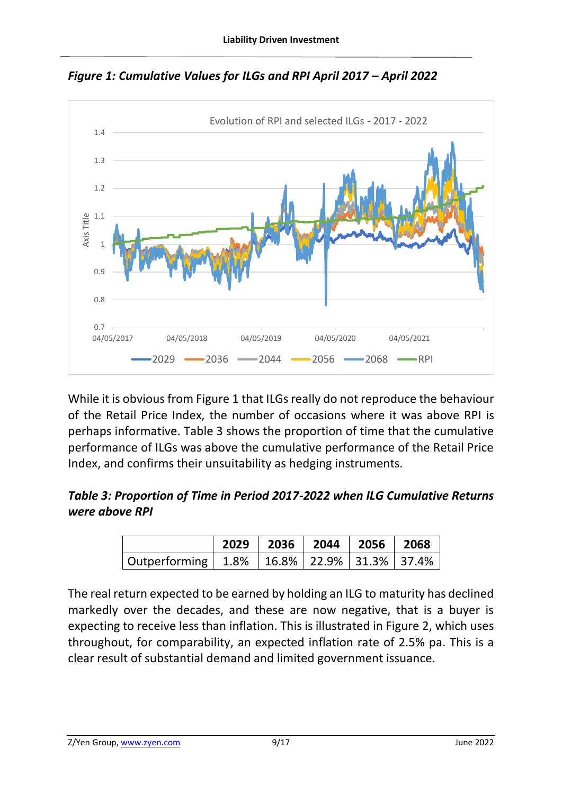

*Figure 1: Cumulative Values for ILGs and RPI April 2017 – April 2022*

While it is obvious from Figure 1 that ILGs really do not reproduce the behaviour of the Retail Price Index, the number of occasions where it was above RPI is perhaps informative. Table 3 shows the proportion of time that the cumulative performance of ILGs was above the cumulative performance of the Retail Price Index, and confirms their unsuitability as hedging instruments.

# *Table 3: Proportion of Time in Period 2017-2022 when ILG Cumulative Returns were above RPI*

|                                                      | 2029 2036 2044 2056 2068 |  |  |
|------------------------------------------------------|--------------------------|--|--|
| Outperforming   1.8%   16.8%   22.9%   31.3%   37.4% |                          |  |  |

The real return expected to be earned by holding an ILG to maturity has declined markedly over the decades, and these are now negative, that is a buyer is expecting to receive less than inflation. This is illustrated in Figure 2, which uses throughout, for comparability, an expected inflation rate of 2.5% pa. This is a clear result of substantial demand and limited government issuance.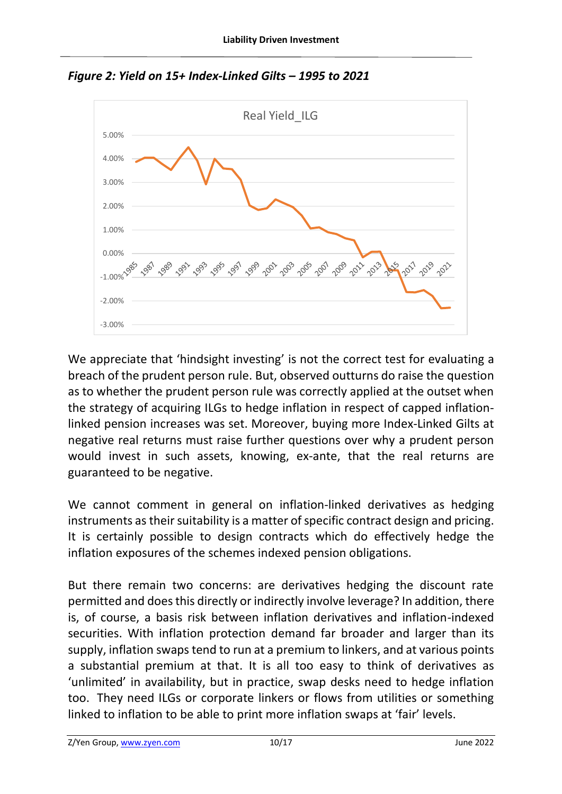



We appreciate that 'hindsight investing' is not the correct test for evaluating a breach of the prudent person rule. But, observed outturns do raise the question as to whether the prudent person rule was correctly applied at the outset when the strategy of acquiring ILGs to hedge inflation in respect of capped inflationlinked pension increases was set. Moreover, buying more Index-Linked Gilts at negative real returns must raise further questions over why a prudent person would invest in such assets, knowing, ex-ante, that the real returns are guaranteed to be negative.

We cannot comment in general on inflation-linked derivatives as hedging instruments as their suitability is a matter of specific contract design and pricing. It is certainly possible to design contracts which do effectively hedge the inflation exposures of the schemes indexed pension obligations.

But there remain two concerns: are derivatives hedging the discount rate permitted and does this directly or indirectly involve leverage? In addition, there is, of course, a basis risk between inflation derivatives and inflation-indexed securities. With inflation protection demand far broader and larger than its supply, inflation swaps tend to run at a premium to linkers, and at various points a substantial premium at that. It is all too easy to think of derivatives as 'unlimited' in availability, but in practice, swap desks need to hedge inflation too. They need ILGs or corporate linkers or flows from utilities or something linked to inflation to be able to print more inflation swaps at 'fair' levels.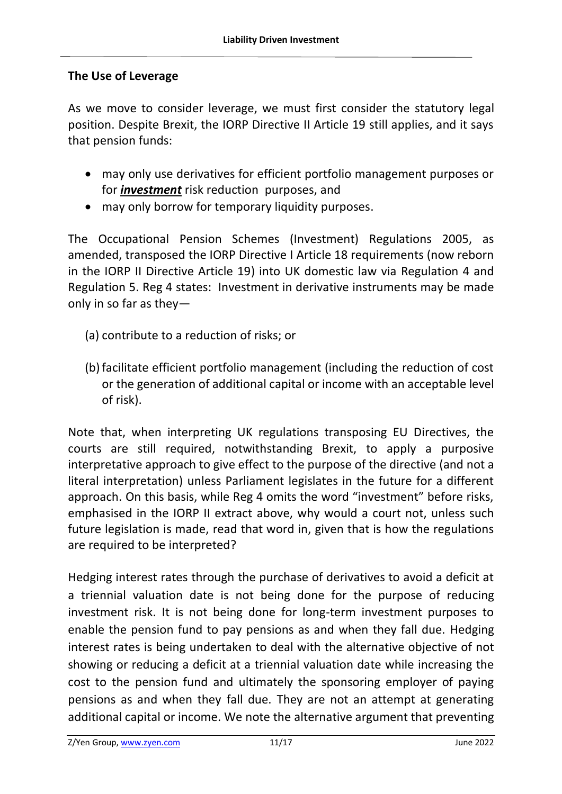#### **The Use of Leverage**

As we move to consider leverage, we must first consider the statutory legal position. Despite Brexit, the IORP Directive II Article 19 still applies, and it says that pension funds:

- may only use derivatives for efficient portfolio management purposes or for *investment* risk reduction purposes, and
- may only borrow for temporary liquidity purposes.

The Occupational Pension Schemes (Investment) Regulations 2005, as amended, transposed the IORP Directive I Article 18 requirements (now reborn in the IORP II Directive Article 19) into UK domestic law via Regulation 4 and Regulation 5. Reg 4 states: Investment in derivative instruments may be made only in so far as they—

- (a) contribute to a reduction of risks; or
- (b) facilitate efficient portfolio management (including the reduction of cost or the generation of additional capital or income with an acceptable level of risk).

Note that, when interpreting UK regulations transposing EU Directives, the courts are still required, notwithstanding Brexit, to apply a purposive interpretative approach to give effect to the purpose of the directive (and not a literal interpretation) unless Parliament legislates in the future for a different approach. On this basis, while Reg 4 omits the word "investment" before risks, emphasised in the IORP II extract above, why would a court not, unless such future legislation is made, read that word in, given that is how the regulations are required to be interpreted?

Hedging interest rates through the purchase of derivatives to avoid a deficit at a triennial valuation date is not being done for the purpose of reducing investment risk. It is not being done for long-term investment purposes to enable the pension fund to pay pensions as and when they fall due. Hedging interest rates is being undertaken to deal with the alternative objective of not showing or reducing a deficit at a triennial valuation date while increasing the cost to the pension fund and ultimately the sponsoring employer of paying pensions as and when they fall due. They are not an attempt at generating additional capital or income. We note the alternative argument that preventing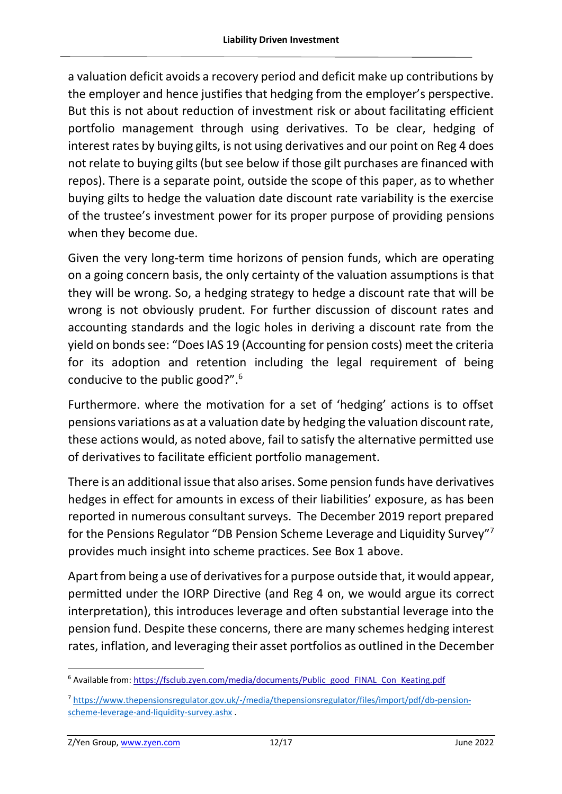a valuation deficit avoids a recovery period and deficit make up contributions by the employer and hence justifies that hedging from the employer's perspective. But this is not about reduction of investment risk or about facilitating efficient portfolio management through using derivatives. To be clear, hedging of interest rates by buying gilts, is not using derivatives and our point on Reg 4 does not relate to buying gilts (but see below if those gilt purchases are financed with repos). There is a separate point, outside the scope of this paper, as to whether buying gilts to hedge the valuation date discount rate variability is the exercise of the trustee's investment power for its proper purpose of providing pensions when they become due.

Given the very long-term time horizons of pension funds, which are operating on a going concern basis, the only certainty of the valuation assumptions is that they will be wrong. So, a hedging strategy to hedge a discount rate that will be wrong is not obviously prudent. For further discussion of discount rates and accounting standards and the logic holes in deriving a discount rate from the yield on bonds see: "Does IAS 19 (Accounting for pension costs) meet the criteria for its adoption and retention including the legal requirement of being conducive to the public good?". 6

Furthermore. where the motivation for a set of 'hedging' actions is to offset pensions variations as at a valuation date by hedging the valuation discount rate, these actions would, as noted above, fail to satisfy the alternative permitted use of derivatives to facilitate efficient portfolio management.

There is an additional issue that also arises. Some pension funds have derivatives hedges in effect for amounts in excess of their liabilities' exposure, as has been reported in numerous consultant surveys. The December 2019 report prepared for the Pensions Regulator "DB Pension Scheme Leverage and Liquidity Survey"<sup>7</sup> provides much insight into scheme practices. See Box 1 above.

Apart from being a use of derivatives for a purpose outside that, it would appear, permitted under the IORP Directive (and Reg 4 on, we would argue its correct interpretation), this introduces leverage and often substantial leverage into the pension fund. Despite these concerns, there are many schemes hedging interest rates, inflation, and leveraging their asset portfolios as outlined in the December

<sup>&</sup>lt;sup>6</sup> Available from[: https://fsclub.zyen.com/media/documents/Public\\_good\\_FINAL\\_Con\\_Keating.pdf](https://fsclub.zyen.com/media/documents/Public_good_FINAL_Con_Keating.pdf)

<sup>7</sup> [https://www.thepensionsregulator.gov.uk/-/media/thepensionsregulator/files/import/pdf/db-pension](https://www.thepensionsregulator.gov.uk/-/media/thepensionsregulator/files/import/pdf/db-pension-scheme-leverage-and-liquidity-survey.ashx)[scheme-leverage-and-liquidity-survey.ashx](https://www.thepensionsregulator.gov.uk/-/media/thepensionsregulator/files/import/pdf/db-pension-scheme-leverage-and-liquidity-survey.ashx) .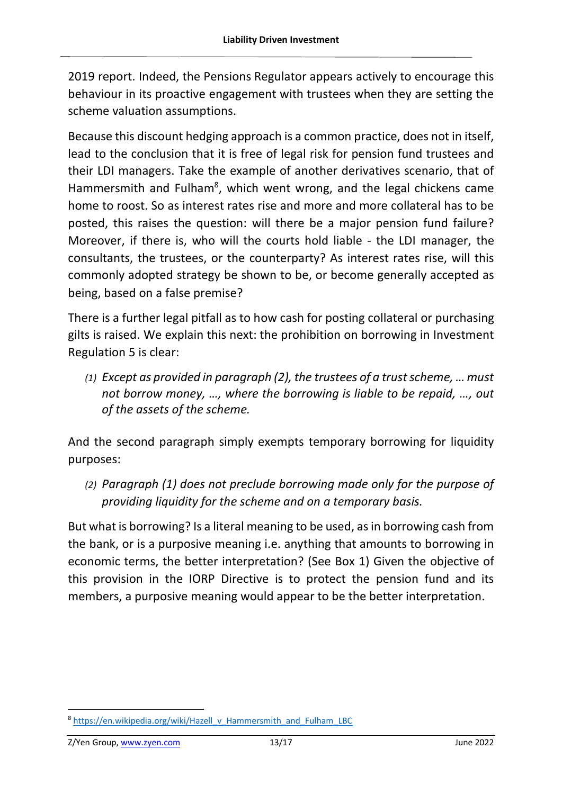2019 report. Indeed, the Pensions Regulator appears actively to encourage this behaviour in its proactive engagement with trustees when they are setting the scheme valuation assumptions.

Because this discount hedging approach is a common practice, does not in itself, lead to the conclusion that it is free of legal risk for pension fund trustees and their LDI managers. Take the example of another derivatives scenario, that of Hammersmith and Fulham<sup>8</sup>, which went wrong, and the legal chickens came home to roost. So as interest rates rise and more and more collateral has to be posted, this raises the question: will there be a major pension fund failure? Moreover, if there is, who will the courts hold liable - the LDI manager, the consultants, the trustees, or the counterparty? As interest rates rise, will this commonly adopted strategy be shown to be, or become generally accepted as being, based on a false premise?

There is a further legal pitfall as to how cash for posting collateral or purchasing gilts is raised. We explain this next: the prohibition on borrowing in Investment Regulation 5 is clear:

*(1) Except as provided in paragraph (2), the trustees of a trust scheme, … must not borrow money, …, where the borrowing is liable to be repaid, …, out of the assets of the scheme.*

And the second paragraph simply exempts temporary borrowing for liquidity purposes:

*(2) Paragraph (1) does not preclude borrowing made only for the purpose of providing liquidity for the scheme and on a temporary basis.*

But what is borrowing? Is a literal meaning to be used, as in borrowing cash from the bank, or is a purposive meaning i.e. anything that amounts to borrowing in economic terms, the better interpretation? (See Box 1) Given the objective of this provision in the IORP Directive is to protect the pension fund and its members, a purposive meaning would appear to be the better interpretation.

<sup>8</sup> [https://en.wikipedia.org/wiki/Hazell\\_v\\_Hammersmith\\_and\\_Fulham\\_LBC](https://en.wikipedia.org/wiki/Hazell_v_Hammersmith_and_Fulham_LBC)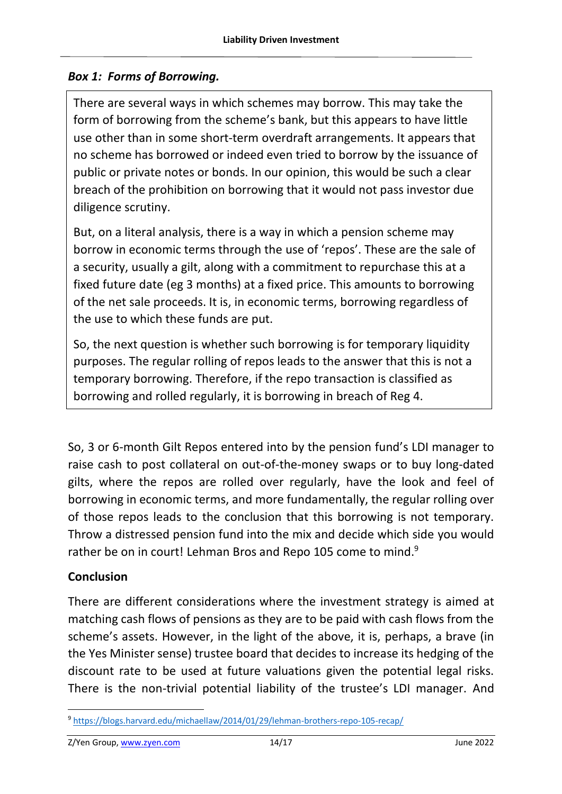## *Box 1: Forms of Borrowing.*

There are several ways in which schemes may borrow. This may take the form of borrowing from the scheme's bank, but this appears to have little use other than in some short-term overdraft arrangements. It appears that no scheme has borrowed or indeed even tried to borrow by the issuance of public or private notes or bonds. In our opinion, this would be such a clear breach of the prohibition on borrowing that it would not pass investor due diligence scrutiny.

But, on a literal analysis, there is a way in which a pension scheme may borrow in economic terms through the use of 'repos'. These are the sale of a security, usually a gilt, along with a commitment to repurchase this at a fixed future date (eg 3 months) at a fixed price. This amounts to borrowing of the net sale proceeds. It is, in economic terms, borrowing regardless of the use to which these funds are put.

So, the next question is whether such borrowing is for temporary liquidity purposes. The regular rolling of repos leads to the answer that this is not a temporary borrowing. Therefore, if the repo transaction is classified as borrowing and rolled regularly, it is borrowing in breach of Reg 4.

So, 3 or 6-month Gilt Repos entered into by the pension fund's LDI manager to raise cash to post collateral on out-of-the-money swaps or to buy long-dated gilts, where the repos are rolled over regularly, have the look and feel of borrowing in economic terms, and more fundamentally, the regular rolling over of those repos leads to the conclusion that this borrowing is not temporary. Throw a distressed pension fund into the mix and decide which side you would rather be on in court! Lehman Bros and Repo 105 come to mind.<sup>9</sup>

# **Conclusion**

There are different considerations where the investment strategy is aimed at matching cash flows of pensions as they are to be paid with cash flows from the scheme's assets. However, in the light of the above, it is, perhaps, a brave (in the Yes Minister sense) trustee board that decides to increase its hedging of the discount rate to be used at future valuations given the potential legal risks. There is the non-trivial potential liability of the trustee's LDI manager. And

<sup>9</sup> <https://blogs.harvard.edu/michaellaw/2014/01/29/lehman-brothers-repo-105-recap/>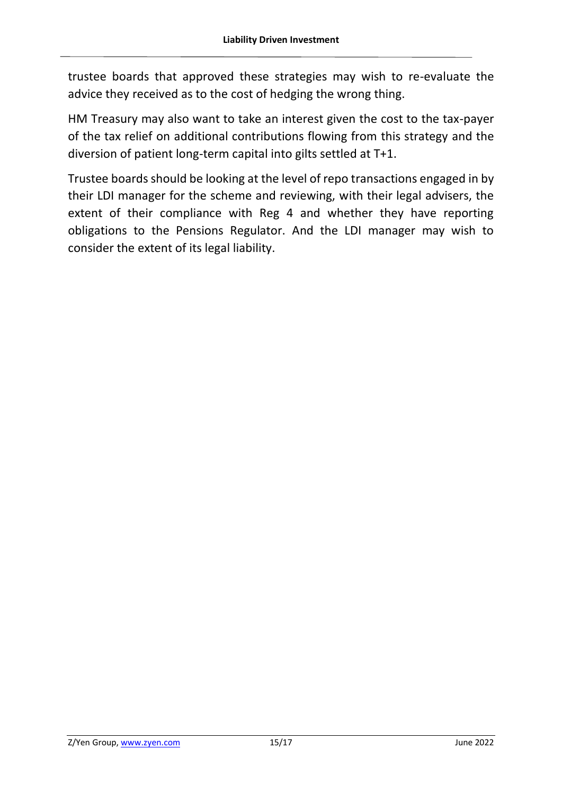trustee boards that approved these strategies may wish to re-evaluate the advice they received as to the cost of hedging the wrong thing.

HM Treasury may also want to take an interest given the cost to the tax-payer of the tax relief on additional contributions flowing from this strategy and the diversion of patient long-term capital into gilts settled at T+1.

Trustee boards should be looking at the level of repo transactions engaged in by their LDI manager for the scheme and reviewing, with their legal advisers, the extent of their compliance with Reg 4 and whether they have reporting obligations to the Pensions Regulator. And the LDI manager may wish to consider the extent of its legal liability.